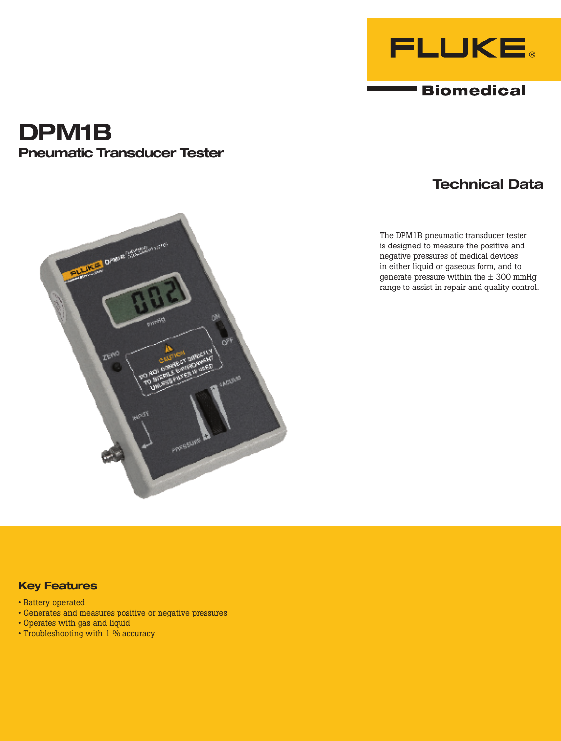

**Biomedical** 

# **DPM1B Pneumatic Transducer Tester**

## **Technical Data**

The DPM1B pneumatic transducer tester is designed to measure the positive and negative pressures of medical devices in either liquid or gaseous form, and to generate pressure within the  $\pm$  300 mmHg range to assist in repair and quality control.



- Battery operated
- Generates and measures positive or negative pressures
- Operates with gas and liquid
- Troubleshooting with 1 % accuracy